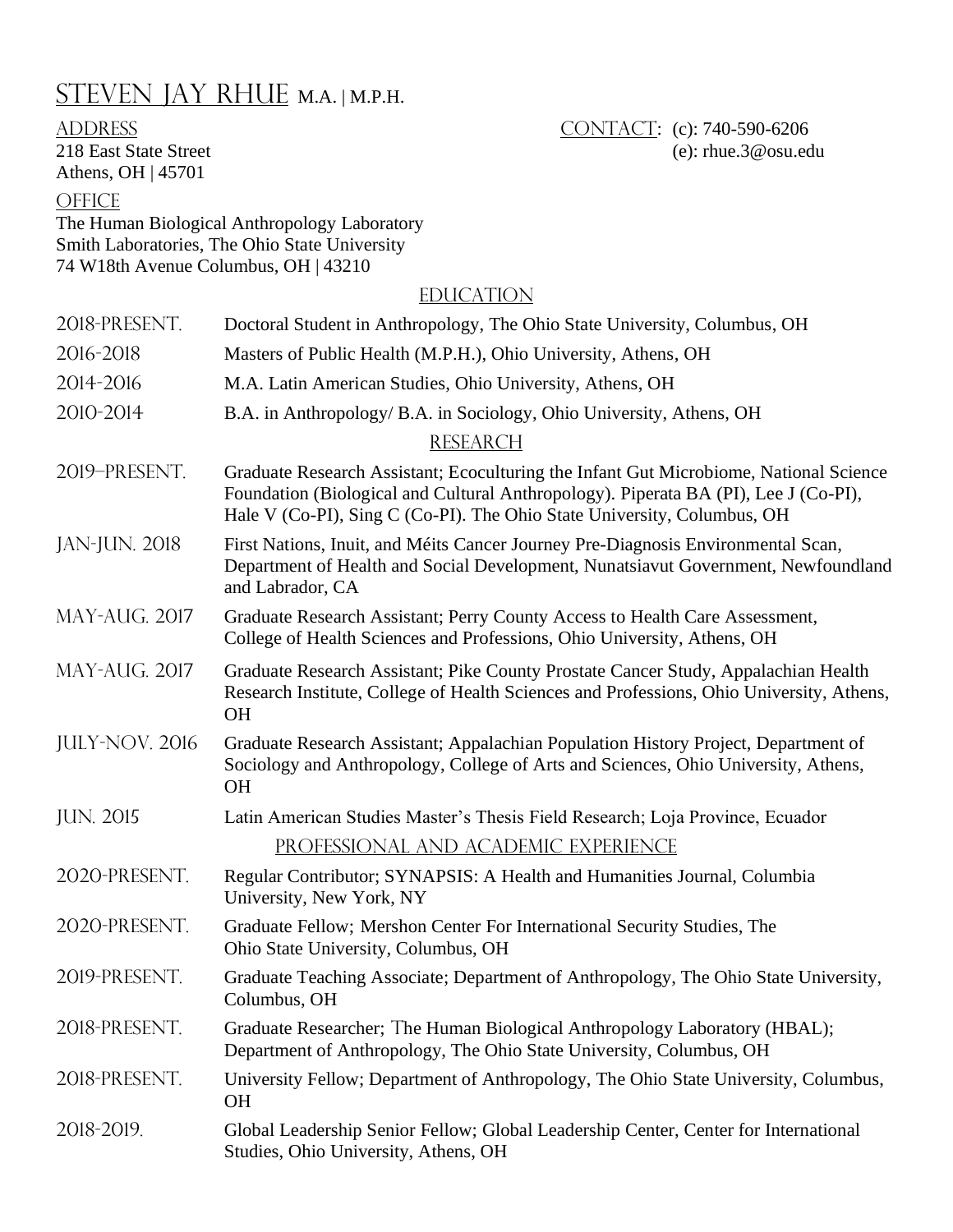## STEVEN JAY RHUE M.A. | M.P.H.

## Athens, OH | 45701

ADDRESS CONTACT: (c): 740-590-6206 218 East State Street (e): rhue.3@osu.edu

## **OFFICE**

The Human Biological Anthropology Laboratory Smith Laboratories, The Ohio State University 74 W18th Avenue Columbus, OH | 43210

## **EDUCATION**

| 2018-PRESENT.         | Doctoral Student in Anthropology, The Ohio State University, Columbus, OH                                                                                                                                                                               |
|-----------------------|---------------------------------------------------------------------------------------------------------------------------------------------------------------------------------------------------------------------------------------------------------|
| 2016-2018             | Masters of Public Health (M.P.H.), Ohio University, Athens, OH                                                                                                                                                                                          |
| 2014-2016             | M.A. Latin American Studies, Ohio University, Athens, OH                                                                                                                                                                                                |
| 2010-2014             | B.A. in Anthropology/ B.A. in Sociology, Ohio University, Athens, OH                                                                                                                                                                                    |
|                       | <b>RESEARCH</b>                                                                                                                                                                                                                                         |
| 2019-PRESENT.         | Graduate Research Assistant; Ecoculturing the Infant Gut Microbiome, National Science<br>Foundation (Biological and Cultural Anthropology). Piperata BA (PI), Lee J (Co-PI),<br>Hale V (Co-PI), Sing C (Co-PI). The Ohio State University, Columbus, OH |
| <b>JAN-JUN. 2018</b>  | First Nations, Inuit, and Méits Cancer Journey Pre-Diagnosis Environmental Scan,<br>Department of Health and Social Development, Nunatsiavut Government, Newfoundland<br>and Labrador, CA                                                               |
| MAY-AUG. 2017         | Graduate Research Assistant; Perry County Access to Health Care Assessment,<br>College of Health Sciences and Professions, Ohio University, Athens, OH                                                                                                  |
| <b>MAY-AUG. 2017</b>  | Graduate Research Assistant; Pike County Prostate Cancer Study, Appalachian Health<br>Research Institute, College of Health Sciences and Professions, Ohio University, Athens,<br><b>OH</b>                                                             |
| <b>JULY-NOV. 2016</b> | Graduate Research Assistant; Appalachian Population History Project, Department of<br>Sociology and Anthropology, College of Arts and Sciences, Ohio University, Athens,<br><b>OH</b>                                                                   |
| <b>JUN. 2015</b>      | Latin American Studies Master's Thesis Field Research; Loja Province, Ecuador                                                                                                                                                                           |
|                       | PROFESSIONAL AND ACADEMIC EXPERIENCE                                                                                                                                                                                                                    |
| 2020-PRESENT.         | Regular Contributor; SYNAPSIS: A Health and Humanities Journal, Columbia<br>University, New York, NY                                                                                                                                                    |
| 2020-PRESENT.         | Graduate Fellow; Mershon Center For International Security Studies, The<br>Ohio State University, Columbus, OH                                                                                                                                          |
| 2019-PRESENT.         | Graduate Teaching Associate; Department of Anthropology, The Ohio State University,<br>Columbus, OH                                                                                                                                                     |
| 2018-PRESENT.         | Graduate Researcher; The Human Biological Anthropology Laboratory (HBAL);<br>Department of Anthropology, The Ohio State University, Columbus, OH                                                                                                        |
| 2018-PRESENT.         | University Fellow; Department of Anthropology, The Ohio State University, Columbus,<br>OН                                                                                                                                                               |
| 2018-2019.            | Global Leadership Senior Fellow; Global Leadership Center, Center for International<br>Studies, Ohio University, Athens, OH                                                                                                                             |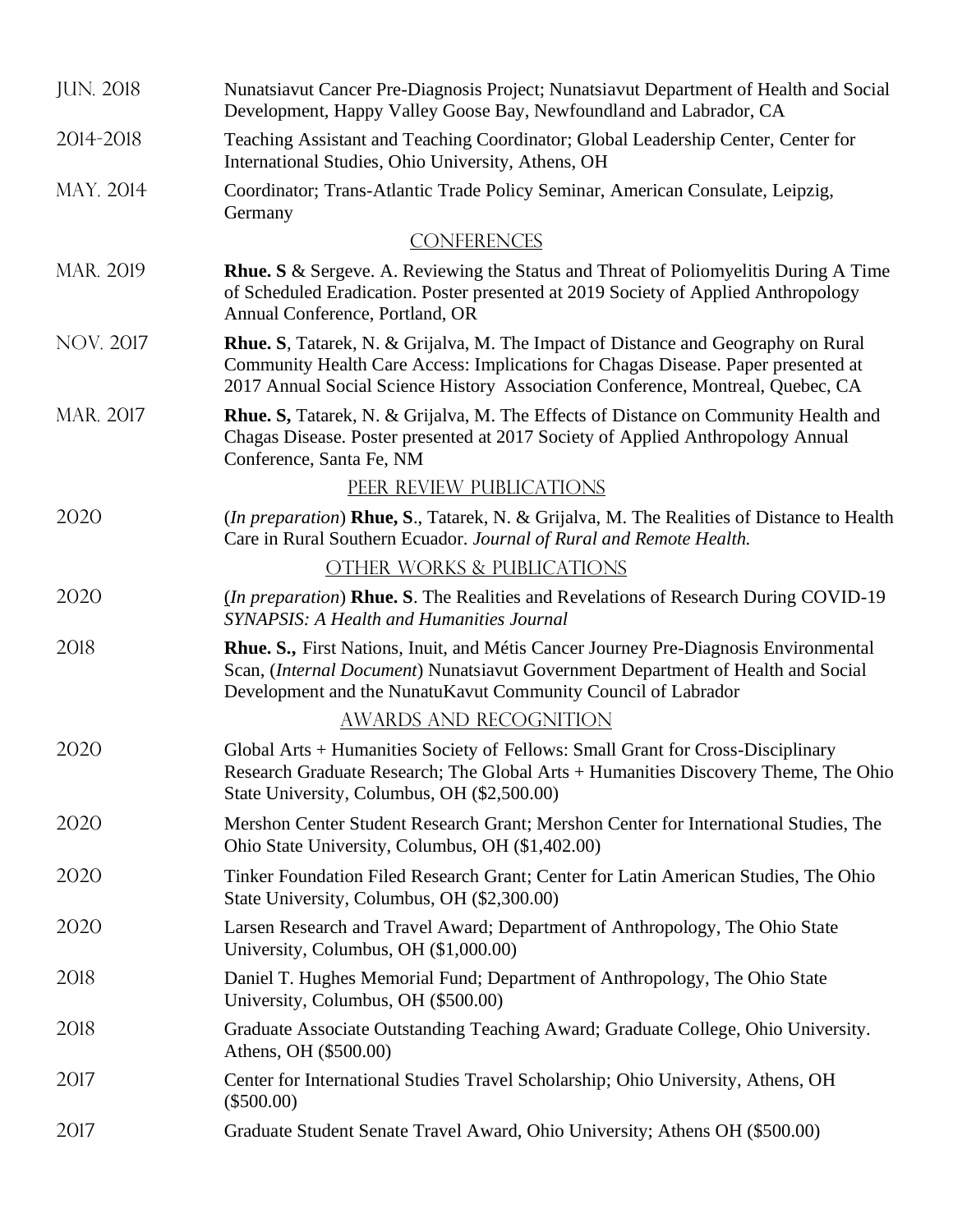| <b>JUN. 2018</b> | Nunatsiavut Cancer Pre-Diagnosis Project; Nunatsiavut Department of Health and Social<br>Development, Happy Valley Goose Bay, Newfoundland and Labrador, CA                                                                                                      |
|------------------|------------------------------------------------------------------------------------------------------------------------------------------------------------------------------------------------------------------------------------------------------------------|
| 2014-2018        | Teaching Assistant and Teaching Coordinator; Global Leadership Center, Center for<br>International Studies, Ohio University, Athens, OH                                                                                                                          |
| MAY. 2014        | Coordinator; Trans-Atlantic Trade Policy Seminar, American Consulate, Leipzig,<br>Germany                                                                                                                                                                        |
|                  | <b>CONFERENCES</b>                                                                                                                                                                                                                                               |
| MAR. 2019        | <b>Rhue.</b> S & Sergeve. A. Reviewing the Status and Threat of Poliomyelitis During A Time<br>of Scheduled Eradication. Poster presented at 2019 Society of Applied Anthropology<br>Annual Conference, Portland, OR                                             |
| <b>NOV. 2017</b> | <b>Rhue.</b> S, Tatarek, N. & Grijalva, M. The Impact of Distance and Geography on Rural<br>Community Health Care Access: Implications for Chagas Disease. Paper presented at<br>2017 Annual Social Science History Association Conference, Montreal, Quebec, CA |
| MAR. 2017        | Rhue. S, Tatarek, N. & Grijalva, M. The Effects of Distance on Community Health and<br>Chagas Disease. Poster presented at 2017 Society of Applied Anthropology Annual<br>Conference, Santa Fe, NM                                                               |
|                  | PEER REVIEW PUBLICATIONS                                                                                                                                                                                                                                         |
| 2020             | ( <i>In preparation</i> ) <b>Rhue, S.</b> , Tatarek, N. & Grijalva, M. The Realities of Distance to Health<br>Care in Rural Southern Ecuador. Journal of Rural and Remote Health.                                                                                |
|                  | OTHER WORKS & PUBLICATIONS                                                                                                                                                                                                                                       |
| 2020             | ( <i>In preparation</i> ) <b>Rhue. S</b> . The Realities and Revelations of Research During COVID-19<br><b>SYNAPSIS: A Health and Humanities Journal</b>                                                                                                         |
| 2018             | Rhue. S., First Nations, Inuit, and Métis Cancer Journey Pre-Diagnosis Environmental<br>Scan, (Internal Document) Nunatsiavut Government Department of Health and Social<br>Development and the NunatuKavut Community Council of Labrador                        |
|                  | AWARDS AND RECOGNITION                                                                                                                                                                                                                                           |
| 2020             | Global Arts + Humanities Society of Fellows: Small Grant for Cross-Disciplinary<br>Research Graduate Research; The Global Arts + Humanities Discovery Theme, The Ohio<br>State University, Columbus, OH (\$2,500.00)                                             |
| 2020             | Mershon Center Student Research Grant; Mershon Center for International Studies, The<br>Ohio State University, Columbus, OH (\$1,402.00)                                                                                                                         |
| 2020             | Tinker Foundation Filed Research Grant; Center for Latin American Studies, The Ohio<br>State University, Columbus, OH (\$2,300.00)                                                                                                                               |
| 2020             | Larsen Research and Travel Award; Department of Anthropology, The Ohio State<br>University, Columbus, OH (\$1,000.00)                                                                                                                                            |
| 2018             | Daniel T. Hughes Memorial Fund; Department of Anthropology, The Ohio State<br>University, Columbus, OH (\$500.00)                                                                                                                                                |
| 2018             | Graduate Associate Outstanding Teaching Award; Graduate College, Ohio University.<br>Athens, OH (\$500.00)                                                                                                                                                       |
| 2017             | Center for International Studies Travel Scholarship; Ohio University, Athens, OH<br>$(\$500.00)$                                                                                                                                                                 |
| 2017             | Graduate Student Senate Travel Award, Ohio University; Athens OH (\$500.00)                                                                                                                                                                                      |